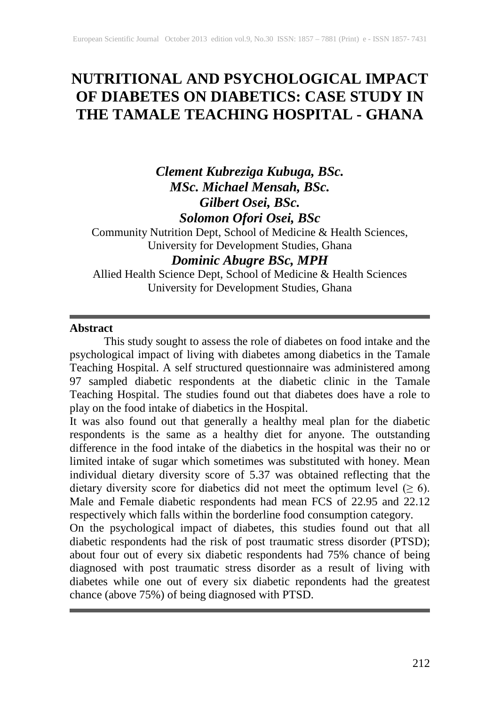# **NUTRITIONAL AND PSYCHOLOGICAL IMPACT OF DIABETES ON DIABETICS: CASE STUDY IN THE TAMALE TEACHING HOSPITAL - GHANA**

# *Clement Kubreziga Kubuga, BSc. MSc. Michael Mensah, BSc. Gilbert Osei, BSc. Solomon Ofori Osei, BSc*

Community Nutrition Dept, School of Medicine & Health Sciences, University for Development Studies, Ghana

# *Dominic Abugre BSc, MPH*

Allied Health Science Dept, School of Medicine & Health Sciences University for Development Studies, Ghana

### **Abstract**

This study sought to assess the role of diabetes on food intake and the psychological impact of living with diabetes among diabetics in the Tamale Teaching Hospital. A self structured questionnaire was administered among 97 sampled diabetic respondents at the diabetic clinic in the Tamale Teaching Hospital. The studies found out that diabetes does have a role to play on the food intake of diabetics in the Hospital.

It was also found out that generally a healthy meal plan for the diabetic respondents is the same as a healthy diet for anyone. The outstanding difference in the food intake of the diabetics in the hospital was their no or limited intake of sugar which sometimes was substituted with honey. Mean individual dietary diversity score of 5.37 was obtained reflecting that the dietary diversity score for diabetics did not meet the optimum level  $(≥ 6)$ . Male and Female diabetic respondents had mean FCS of 22.95 and 22.12 respectively which falls within the borderline food consumption category.

On the psychological impact of diabetes, this studies found out that all diabetic respondents had the risk of post traumatic stress disorder (PTSD); about four out of every six diabetic respondents had 75% chance of being diagnosed with post traumatic stress disorder as a result of living with diabetes while one out of every six diabetic repondents had the greatest chance (above 75%) of being diagnosed with PTSD.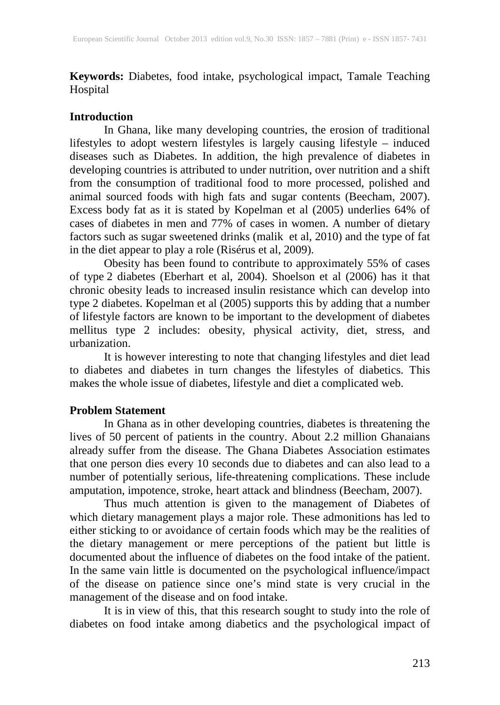**Keywords:** Diabetes, food intake, psychological impact, Tamale Teaching Hospital

## **Introduction**

In Ghana, like many developing countries, the erosion of traditional lifestyles to adopt western lifestyles is largely causing lifestyle – induced diseases such as Diabetes. In addition, the high prevalence of diabetes in developing countries is attributed to under nutrition, over nutrition and a shift from the consumption of traditional food to more processed, polished and animal sourced foods with high fats and sugar contents (Beecham, 2007). Excess body fat as it is stated by Kopelman et al (2005) underlies 64% of cases of diabetes in men and 77% of cases in women. A number of dietary factors such as sugar sweetened drinks (malik et al, 2010) and the type of fat in the diet appear to play a role (Risérus et al, 2009).

Obesity has been found to contribute to approximately 55% of cases of type 2 diabetes (Eberhart et al, 2004). Shoelson et al (2006) has it that chronic obesity leads to increased insulin resistance which can develop into type 2 diabetes. Kopelman et al (2005) supports this by adding that a number of lifestyle factors are known to be important to the development of diabetes mellitus type 2 includes: obesity, physical activity, diet, stress, and urbanization.

It is however interesting to note that changing lifestyles and diet lead to diabetes and diabetes in turn changes the lifestyles of diabetics. This makes the whole issue of diabetes, lifestyle and diet a complicated web.

## **Problem Statement**

In Ghana as in other developing countries, diabetes is threatening the lives of 50 percent of patients in the country. About 2.2 million Ghanaians already suffer from the disease. The Ghana Diabetes Association estimates that one person dies every 10 seconds due to diabetes and can also lead to a number of potentially serious, life-threatening complications. These include amputation, impotence, stroke, heart attack and blindness (Beecham, 2007).

Thus much attention is given to the management of Diabetes of which dietary management plays a major role. These admonitions has led to either sticking to or avoidance of certain foods which may be the realities of the dietary management or mere perceptions of the patient but little is documented about the influence of diabetes on the food intake of the patient. In the same vain little is documented on the psychological influence/impact of the disease on patience since one's mind state is very crucial in the management of the disease and on food intake.

It is in view of this, that this research sought to study into the role of diabetes on food intake among diabetics and the psychological impact of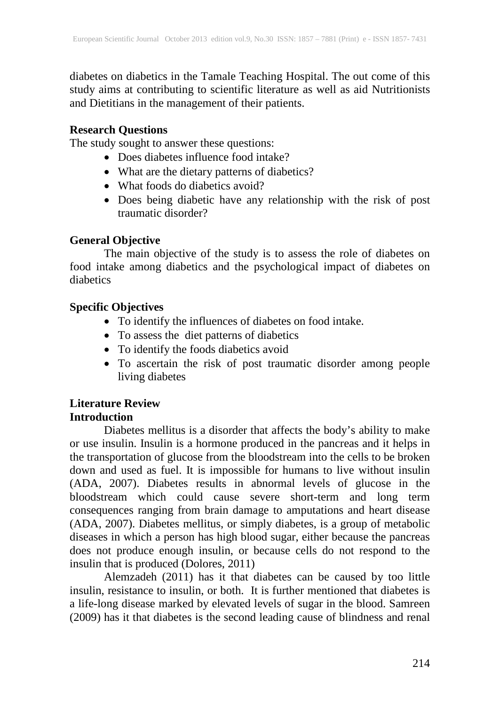diabetes on diabetics in the Tamale Teaching Hospital. The out come of this study aims at contributing to scientific literature as well as aid Nutritionists and Dietitians in the management of their patients.

### **Research Questions**

The study sought to answer these questions:

- Does diabetes influence food intake?
- What are the dietary patterns of diabetics?
- What foods do diabetics avoid?
- Does being diabetic have any relationship with the risk of post traumatic disorder?

## **General Objective**

The main objective of the study is to assess the role of diabetes on food intake among diabetics and the psychological impact of diabetes on diabetics

## **Specific Objectives**

- To identify the influences of diabetes on food intake.
- To assess the diet patterns of diabetics
- To identify the foods diabetics avoid
- To ascertain the risk of post traumatic disorder among people living diabetes

# **Literature Review**

## **Introduction**

Diabetes mellitus is a disorder that affects the body's ability to make or use insulin. Insulin is a hormone produced in the pancreas and it helps in the transportation of glucose from the bloodstream into the cells to be broken down and used as fuel. It is impossible for humans to live without insulin (ADA, 2007). Diabetes results in abnormal levels of glucose in the bloodstream which could cause severe short-term and long term consequences ranging from brain damage to amputations and heart disease (ADA, 2007). Diabetes mellitus, or simply diabetes, is a group of metabolic diseases in which a person has high blood sugar, either because the pancreas does not produce enough insulin, or because cells do not respond to the insulin that is produced (Dolores, 2011)

Alemzadeh (2011) has it that diabetes can be caused by too little insulin, resistance to insulin, or both. It is further mentioned that diabetes is a life-long disease marked by elevated levels of sugar in the blood. Samreen (2009) has it that diabetes is the second leading cause of blindness and renal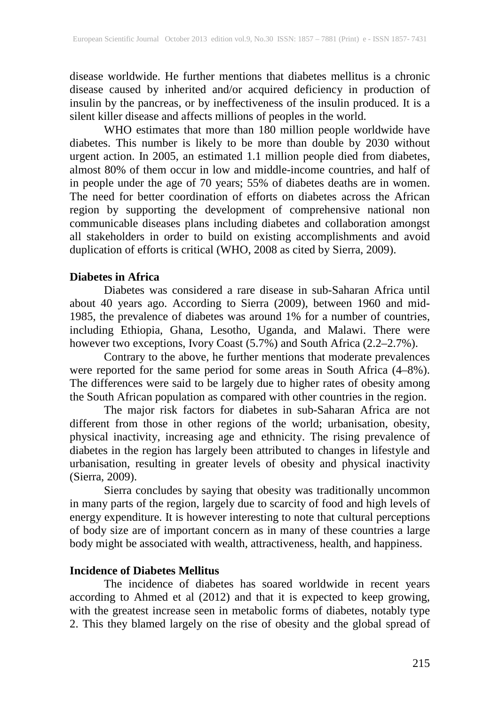disease worldwide. He further mentions that diabetes mellitus is a chronic disease caused by inherited and/or acquired deficiency in production of insulin by the pancreas, or by ineffectiveness of the insulin produced. It is a silent killer disease and affects millions of peoples in the world.

WHO estimates that more than 180 million people worldwide have diabetes. This number is likely to be more than double by 2030 without urgent action. In 2005, an estimated 1.1 million people died from diabetes, almost 80% of them occur in low and middle-income countries, and half of in people under the age of 70 years; 55% of diabetes deaths are in women. The need for better coordination of efforts on diabetes across the African region by supporting the development of comprehensive national non communicable diseases plans including diabetes and collaboration amongst all stakeholders in order to build on existing accomplishments and avoid duplication of efforts is critical (WHO, 2008 as cited by Sierra, 2009).

#### **Diabetes in Africa**

Diabetes was considered a rare disease in sub-Saharan Africa until about 40 years ago. According to Sierra (2009), between 1960 and mid-1985, the prevalence of diabetes was around 1% for a number of countries, including Ethiopia, Ghana, Lesotho, Uganda, and Malawi. There were however two exceptions, Ivory Coast (5.7%) and South Africa (2.2–2.7%).

Contrary to the above, he further mentions that moderate prevalences were reported for the same period for some areas in South Africa (4–8%). The differences were said to be largely due to higher rates of obesity among the South African population as compared with other countries in the region.

The major risk factors for diabetes in sub-Saharan Africa are not different from those in other regions of the world; urbanisation, obesity, physical inactivity, increasing age and ethnicity. The rising prevalence of diabetes in the region has largely been attributed to changes in lifestyle and urbanisation, resulting in greater levels of obesity and physical inactivity (Sierra, 2009).

Sierra concludes by saying that obesity was traditionally uncommon in many parts of the region, largely due to scarcity of food and high levels of energy expenditure. It is however interesting to note that cultural perceptions of body size are of important concern as in many of these countries a large body might be associated with wealth, attractiveness, health, and happiness.

### **Incidence of Diabetes Mellitus**

The incidence of diabetes has soared worldwide in recent years according to Ahmed et al (2012) and that it is expected to keep growing, with the greatest increase seen in metabolic forms of diabetes, notably type 2. This they blamed largely on the rise of obesity and the global spread of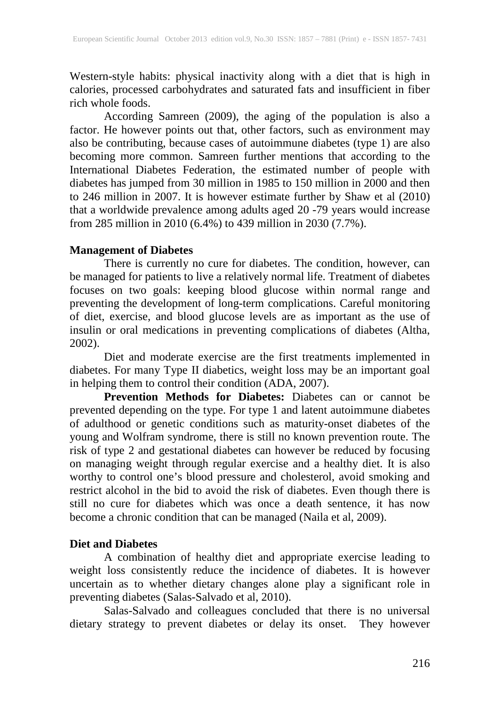Western-style habits: physical inactivity along with a diet that is high in calories, processed carbohydrates and saturated fats and insufficient in fiber rich whole foods.

According Samreen (2009), the aging of the population is also a factor. He however points out that, other factors, such as environment may also be contributing, because cases of autoimmune diabetes (type 1) are also becoming more common. Samreen further mentions that according to the International Diabetes Federation, the estimated number of people with diabetes has jumped from 30 million in 1985 to 150 million in 2000 and then to 246 million in 2007. It is however estimate further by Shaw et al (2010) that a worldwide prevalence among adults aged 20 -79 years would increase from 285 million in 2010 (6.4%) to 439 million in 2030 (7.7%).

#### **Management of Diabetes**

There is currently no cure for diabetes. The condition, however, can be managed for patients to live a relatively normal life. Treatment of diabetes focuses on two goals: keeping blood glucose within normal range and preventing the development of long-term complications. Careful monitoring of diet, exercise, and blood glucose levels are as important as the use of insulin or oral medications in preventing complications of diabetes (Altha, 2002).

Diet and moderate exercise are the first treatments implemented in diabetes. For many Type II diabetics, weight loss may be an important goal in helping them to control their condition (ADA, 2007).

**Prevention Methods for Diabetes:** Diabetes can or cannot be prevented depending on the type. For type 1 and latent autoimmune diabetes of adulthood or genetic conditions such as maturity-onset diabetes of the young and Wolfram syndrome, there is still no known prevention route. The risk of type 2 and gestational diabetes can however be reduced by focusing on managing weight through regular exercise and a healthy diet. It is also worthy to control one's blood pressure and cholesterol, avoid smoking and restrict alcohol in the bid to avoid the risk of diabetes. Even though there is still no cure for diabetes which was once a death sentence, it has now become a chronic condition that can be managed (Naila et al, 2009).

### **Diet and Diabetes**

A combination of healthy diet and appropriate exercise leading to weight loss consistently reduce the incidence of diabetes. It is however uncertain as to whether dietary changes alone play a significant role in preventing diabetes (Salas-Salvado et al, 2010).

Salas-Salvado and colleagues concluded that there is no universal dietary strategy to prevent diabetes or delay its onset. They however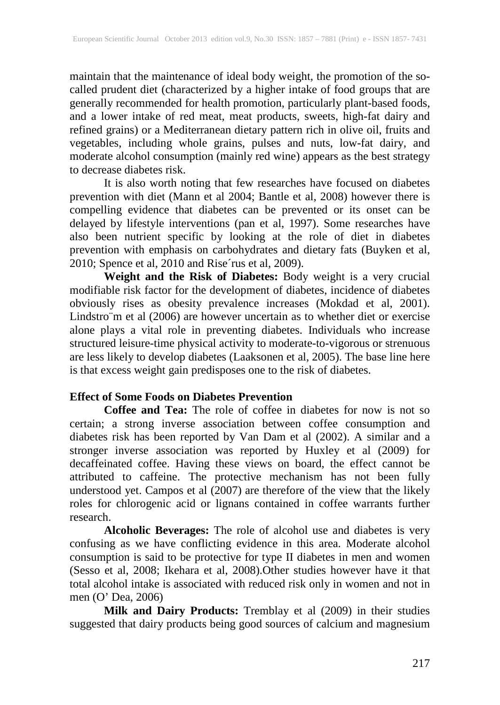maintain that the maintenance of ideal body weight, the promotion of the socalled prudent diet (characterized by a higher intake of food groups that are generally recommended for health promotion, particularly plant-based foods, and a lower intake of red meat, meat products, sweets, high-fat dairy and refined grains) or a Mediterranean dietary pattern rich in olive oil, fruits and vegetables, including whole grains, pulses and nuts, low-fat dairy, and moderate alcohol consumption (mainly red wine) appears as the best strategy to decrease diabetes risk.

It is also worth noting that few researches have focused on diabetes prevention with diet (Mann et al 2004; Bantle et al, 2008) however there is compelling evidence that diabetes can be prevented or its onset can be delayed by lifestyle interventions (pan et al, 1997). Some researches have also been nutrient specific by looking at the role of diet in diabetes prevention with emphasis on carbohydrates and dietary fats (Buyken et al, 2010; Spence et al, 2010 and Rise´rus et al, 2009).

**Weight and the Risk of Diabetes:** Body weight is a very crucial modifiable risk factor for the development of diabetes, incidence of diabetes obviously rises as obesity prevalence increases (Mokdad et al, 2001). Lindstro m et al (2006) are however uncertain as to whether diet or exercise alone plays a vital role in preventing diabetes. Individuals who increase structured leisure-time physical activity to moderate-to-vigorous or strenuous are less likely to develop diabetes (Laaksonen et al, 2005). The base line here is that excess weight gain predisposes one to the risk of diabetes.

### **Effect of Some Foods on Diabetes Prevention**

**Coffee and Tea:** The role of coffee in diabetes for now is not so certain; a strong inverse association between coffee consumption and diabetes risk has been reported by Van Dam et al (2002). A similar and a stronger inverse association was reported by Huxley et al (2009) for decaffeinated coffee. Having these views on board, the effect cannot be attributed to caffeine. The protective mechanism has not been fully understood yet. Campos et al (2007) are therefore of the view that the likely roles for chlorogenic acid or lignans contained in coffee warrants further research.

**Alcoholic Beverages:** The role of alcohol use and diabetes is very confusing as we have conflicting evidence in this area. Moderate alcohol consumption is said to be protective for type II diabetes in men and women (Sesso et al, 2008; Ikehara et al, 2008).Other studies however have it that total alcohol intake is associated with reduced risk only in women and not in men (O' Dea, 2006)

**Milk and Dairy Products:** Tremblay et al (2009) in their studies suggested that dairy products being good sources of calcium and magnesium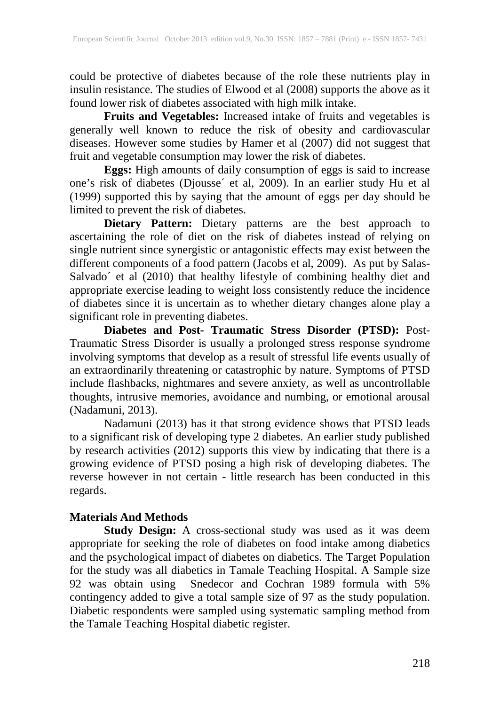could be protective of diabetes because of the role these nutrients play in insulin resistance. The studies of Elwood et al (2008) supports the above as it found lower risk of diabetes associated with high milk intake.

**Fruits and Vegetables:** Increased intake of fruits and vegetables is generally well known to reduce the risk of obesity and cardiovascular diseases. However some studies by Hamer et al (2007) did not suggest that fruit and vegetable consumption may lower the risk of diabetes.

**Eggs:** High amounts of daily consumption of eggs is said to increase one's risk of diabetes (Djousse´ et al, 2009). In an earlier study Hu et al (1999) supported this by saying that the amount of eggs per day should be limited to prevent the risk of diabetes.

**Dietary Pattern:** Dietary patterns are the best approach to ascertaining the role of diet on the risk of diabetes instead of relying on single nutrient since synergistic or antagonistic effects may exist between the different components of a food pattern (Jacobs et al, 2009). As put by Salas-Salvado´ et al (2010) that healthy lifestyle of combining healthy diet and appropriate exercise leading to weight loss consistently reduce the incidence of diabetes since it is uncertain as to whether dietary changes alone play a significant role in preventing diabetes.

**Diabetes and Post- Traumatic Stress Disorder (PTSD):** Post-Traumatic Stress Disorder is usually a prolonged stress response syndrome involving symptoms that develop as a result of stressful life events usually of an extraordinarily threatening or catastrophic by nature. Symptoms of PTSD include flashbacks, nightmares and severe anxiety, as well as uncontrollable thoughts, intrusive memories, avoidance and numbing, or emotional arousal (Nadamuni, 2013).

Nadamuni (2013) has it that strong evidence shows that PTSD leads to a significant risk of developing type 2 diabetes. An earlier study published by research activities (2012) supports this view by indicating that there is a growing evidence of PTSD posing a high risk of developing diabetes. The reverse however in not certain - little research has been conducted in this regards.

### **Materials And Methods**

**Study Design:** A cross-sectional study was used as it was deem appropriate for seeking the role of diabetes on food intake among diabetics and the psychological impact of diabetes on diabetics. The Target Population for the study was all diabetics in Tamale Teaching Hospital. A Sample size 92 was obtain using Snedecor and Cochran 1989 formula with 5% contingency added to give a total sample size of 97 as the study population. Diabetic respondents were sampled using systematic sampling method from the Tamale Teaching Hospital diabetic register.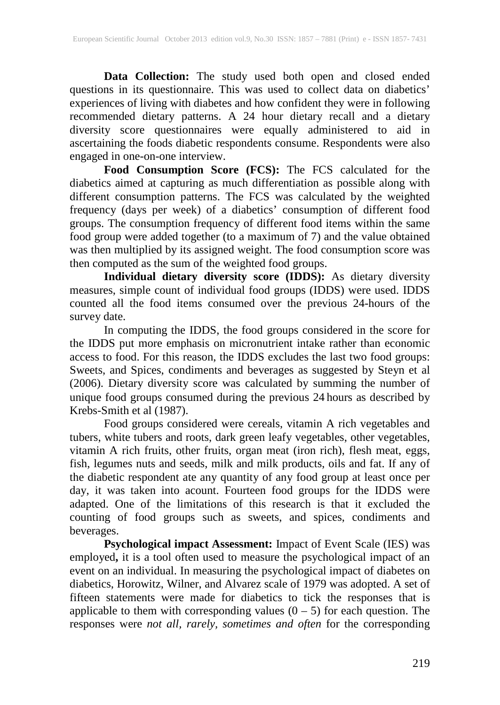**Data Collection:** The study used both open and closed ended questions in its questionnaire. This was used to collect data on diabetics' experiences of living with diabetes and how confident they were in following recommended dietary patterns. A 24 hour dietary recall and a dietary diversity score questionnaires were equally administered to aid in ascertaining the foods diabetic respondents consume. Respondents were also engaged in one-on-one interview.

**Food Consumption Score (FCS):** The FCS calculated for the diabetics aimed at capturing as much differentiation as possible along with different consumption patterns. The FCS was calculated by the weighted frequency (days per week) of a diabetics' consumption of different food groups. The consumption frequency of different food items within the same food group were added together (to a maximum of 7) and the value obtained was then multiplied by its assigned weight. The food consumption score was then computed as the sum of the weighted food groups.

**Individual dietary diversity score (IDDS):** As dietary diversity measures, simple count of individual food groups (IDDS) were used. IDDS counted all the food items consumed over the previous 24-hours of the survey date.

In computing the IDDS, the food groups considered in the score for the IDDS put more emphasis on micronutrient intake rather than economic access to food. For this reason, the IDDS excludes the last two food groups: Sweets, and Spices, condiments and beverages as suggested by Steyn et al (2006). Dietary diversity score was calculated by summing the number of unique food groups consumed during the previous 24 hours as described by Krebs-Smith et al (1987).

Food groups considered were cereals, vitamin A rich vegetables and tubers, white tubers and roots, dark green leafy vegetables, other vegetables, vitamin A rich fruits, other fruits, organ meat (iron rich), flesh meat, eggs, fish, legumes nuts and seeds, milk and milk products, oils and fat. If any of the diabetic respondent ate any quantity of any food group at least once per day, it was taken into acount. Fourteen food groups for the IDDS were adapted. One of the limitations of this research is that it excluded the counting of food groups such as sweets, and spices, condiments and beverages.

**Psychological impact Assessment:** Impact of Event Scale (IES) was employed**,** it is a tool often used to measure the psychological impact of an event on an individual. In measuring the psychological impact of diabetes on diabetics, Horowitz, Wilner, and Alvarez scale of 1979 was adopted. A set of fifteen statements were made for diabetics to tick the responses that is applicable to them with corresponding values  $(0 - 5)$  for each question. The responses were *not all, rarely, sometimes and often* for the corresponding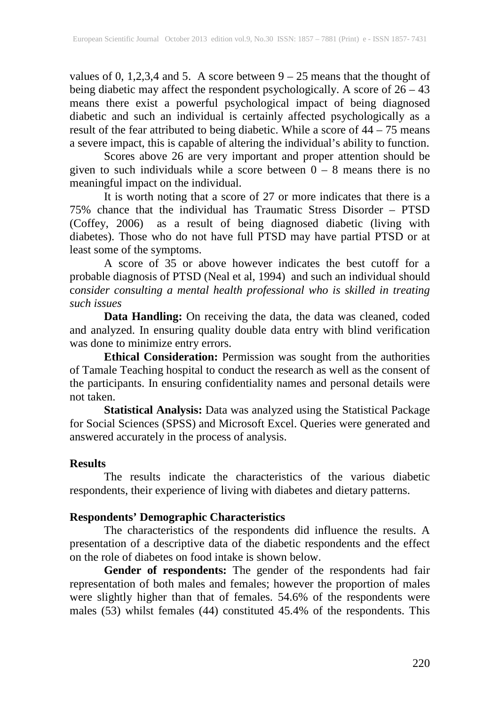values of 0, 1,2,3,4 and 5. A score between  $9 - 25$  means that the thought of being diabetic may affect the respondent psychologically. A score of 26 – 43 means there exist a powerful psychological impact of being diagnosed diabetic and such an individual is certainly affected psychologically as a result of the fear attributed to being diabetic. While a score of 44 – 75 means a severe impact, this is capable of altering the individual's ability to function.

Scores above 26 are very important and proper attention should be given to such individuals while a score between  $0 - 8$  means there is no meaningful impact on the individual.

It is worth noting that a score of 27 or more indicates that there is a 75% chance that the individual has Traumatic Stress Disorder – PTSD (Coffey, 2006) as a result of being diagnosed diabetic (living with diabetes). Those who do not have full PTSD may have partial PTSD or at least some of the symptoms.

A score of 35 or above however indicates the best cutoff for a probable diagnosis of PTSD (Neal et al, 1994) and such an individual should c*onsider consulting a mental health professional who is skilled in treating such issues*

**Data Handling:** On receiving the data, the data was cleaned, coded and analyzed. In ensuring quality double data entry with blind verification was done to minimize entry errors.

**Ethical Consideration:** Permission was sought from the authorities of Tamale Teaching hospital to conduct the research as well as the consent of the participants. In ensuring confidentiality names and personal details were not taken.

**Statistical Analysis:** Data was analyzed using the Statistical Package for Social Sciences (SPSS) and Microsoft Excel. Queries were generated and answered accurately in the process of analysis.

### **Results**

The results indicate the characteristics of the various diabetic respondents, their experience of living with diabetes and dietary patterns.

# **Respondents' Demographic Characteristics**

The characteristics of the respondents did influence the results. A presentation of a descriptive data of the diabetic respondents and the effect on the role of diabetes on food intake is shown below.

**Gender of respondents:** The gender of the respondents had fair representation of both males and females; however the proportion of males were slightly higher than that of females. 54.6% of the respondents were males (53) whilst females (44) constituted 45.4% of the respondents. This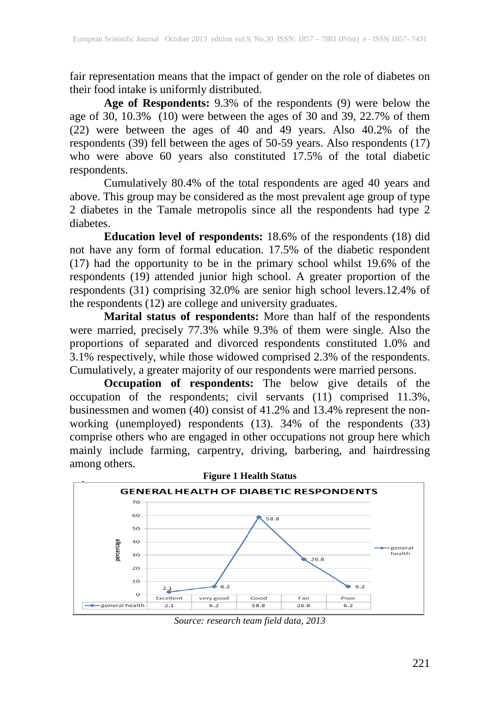fair representation means that the impact of gender on the role of diabetes on their food intake is uniformly distributed.

**Age of Respondents:** 9.3% of the respondents (9) were below the age of 30, 10.3% (10) were between the ages of 30 and 39, 22.7% of them (22) were between the ages of 40 and 49 years. Also 40.2% of the respondents (39) fell between the ages of 50-59 years. Also respondents (17) who were above 60 years also constituted 17.5% of the total diabetic respondents.

Cumulatively 80.4% of the total respondents are aged 40 years and above. This group may be considered as the most prevalent age group of type 2 diabetes in the Tamale metropolis since all the respondents had type 2 diabetes.

**Education level of respondents:** 18.6% of the respondents (18) did not have any form of formal education. 17.5% of the diabetic respondent (17) had the opportunity to be in the primary school whilst 19.6% of the respondents (19) attended junior high school. A greater proportion of the respondents (31) comprising 32.0% are senior high school levers.12.4% of the respondents (12) are college and university graduates.

**Marital status of respondents:** More than half of the respondents were married, precisely 77.3% while 9.3% of them were single. Also the proportions of separated and divorced respondents constituted 1.0% and 3.1% respectively, while those widowed comprised 2.3% of the respondents. Cumulatively, a greater majority of our respondents were married persons.

**Occupation of respondents:** The below give details of the occupation of the respondents; civil servants (11) comprised 11.3%, businessmen and women (40) consist of 41.2% and 13.4% represent the nonworking (unemployed) respondents (13). 34% of the respondents (33) comprise others who are engaged in other occupations not group here which mainly include farming, carpentry, driving, barbering, and hairdressing among others.



*Source: research team field data, 2013*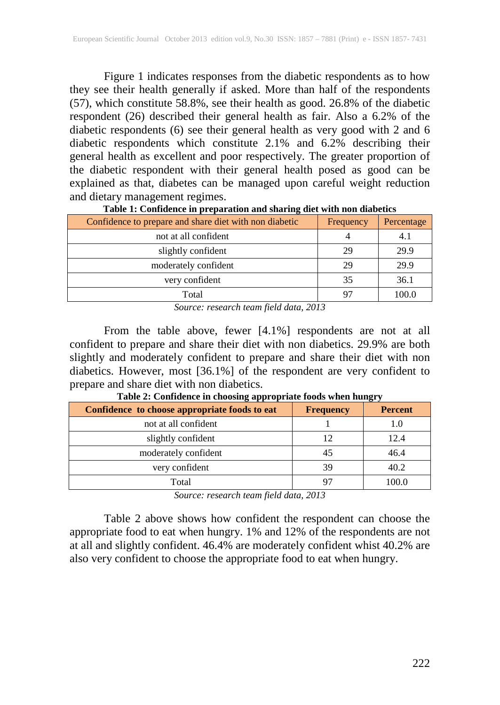Figure 1 indicates responses from the diabetic respondents as to how they see their health generally if asked. More than half of the respondents (57), which constitute 58.8%, see their health as good. 26.8% of the diabetic respondent (26) described their general health as fair. Also a 6.2% of the diabetic respondents (6) see their general health as very good with 2 and 6 diabetic respondents which constitute 2.1% and 6.2% describing their general health as excellent and poor respectively. The greater proportion of the diabetic respondent with their general health posed as good can be explained as that, diabetes can be managed upon careful weight reduction and dietary management regimes.

| Confidence to prepare and share diet with non diabetic | Frequency | Percentage |
|--------------------------------------------------------|-----------|------------|
| not at all confident                                   |           |            |
| slightly confident                                     | 29        | 29.9       |
| moderately confident                                   | 29        | 29.9       |
| very confident                                         | 35        | 36.1       |
| Total                                                  |           | 100.0      |

**Table 1: Confidence in preparation and sharing diet with non diabetics**

*Source: research team field data, 2013*

From the table above, fewer [4.1%] respondents are not at all confident to prepare and share their diet with non diabetics. 29.9% are both slightly and moderately confident to prepare and share their diet with non diabetics. However, most [36.1%] of the respondent are very confident to prepare and share diet with non diabetics.

| Confidence to choose appropriate foods to eat | <b>Frequency</b> | <b>Percent</b> |
|-----------------------------------------------|------------------|----------------|
| not at all confident                          |                  | 1.0            |
| slightly confident                            | 12               | 12.4           |
| moderately confident                          | 45               | 46.4           |
| very confident                                | 39               | 40.2           |
| Total                                         |                  | 100.0          |

**Table 2: Confidence in choosing appropriate foods when hungry**

*Source: research team field data, 2013*

Table 2 above shows how confident the respondent can choose the appropriate food to eat when hungry. 1% and 12% of the respondents are not at all and slightly confident. 46.4% are moderately confident whist 40.2% are also very confident to choose the appropriate food to eat when hungry.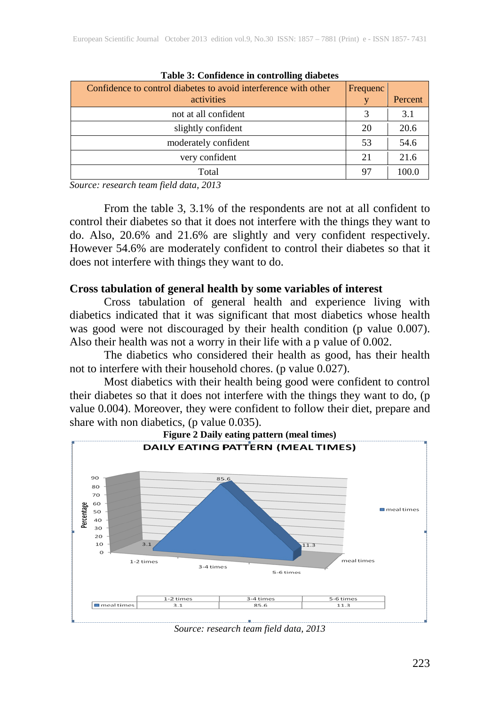| Tuble of Configuration controlling and cross                    |          |         |
|-----------------------------------------------------------------|----------|---------|
| Confidence to control diabetes to avoid interference with other | Frequenc |         |
| activities                                                      | v        | Percent |
| not at all confident                                            |          | 3.1     |
| slightly confident                                              | 20       | 20.6    |
| moderately confident                                            | 53       | 54.6    |
| very confident                                                  | 21       | 21.6    |
| Total                                                           | 97       | 100.0   |

**Table 3: Confidence in controlling diabetes**

*Source: research team field data, 2013*

From the table 3, 3.1% of the respondents are not at all confident to control their diabetes so that it does not interfere with the things they want to do. Also, 20.6% and 21.6% are slightly and very confident respectively. However 54.6% are moderately confident to control their diabetes so that it does not interfere with things they want to do.

#### **Cross tabulation of general health by some variables of interest**

Cross tabulation of general health and experience living with diabetics indicated that it was significant that most diabetics whose health was good were not discouraged by their health condition (p value 0.007). Also their health was not a worry in their life with a p value of 0.002.

The diabetics who considered their health as good, has their health not to interfere with their household chores. (p value 0.027).

Most diabetics with their health being good were confident to control their diabetes so that it does not interfere with the things they want to do, (p value 0.004). Moreover, they were confident to follow their diet, prepare and share with non diabetics, (p value 0.035).



*Source: research team field data, 2013*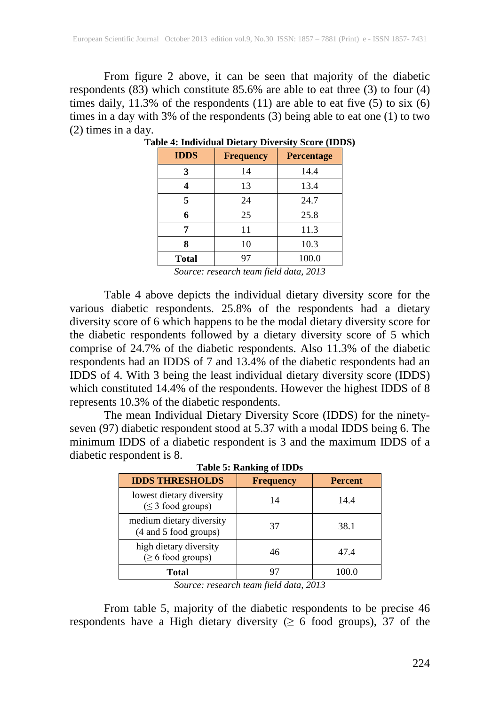From figure 2 above, it can be seen that majority of the diabetic respondents (83) which constitute 85.6% are able to eat three (3) to four (4) times daily,  $11.3\%$  of the respondents (11) are able to eat five (5) to six (6) times in a day with 3% of the respondents (3) being able to eat one (1) to two (2) times in a day.

| <b>IDDS</b> | <b>Frequency</b> | <b>Percentage</b> |
|-------------|------------------|-------------------|
| 3           | 14               | 14.4              |
|             | 13               | 13.4              |
| 5           | 24               | 24.7              |
| 6           | 25               | 25.8              |
| 7           | 11               | 11.3              |
| 8           | 10               | 10.3              |
| Total       | 97               | 100.0             |

*Source: research team field data, 2013*

Table 4 above depicts the individual dietary diversity score for the various diabetic respondents. 25.8% of the respondents had a dietary diversity score of 6 which happens to be the modal dietary diversity score for the diabetic respondents followed by a dietary diversity score of 5 which comprise of 24.7% of the diabetic respondents. Also 11.3% of the diabetic respondents had an IDDS of 7 and 13.4% of the diabetic respondents had an IDDS of 4. With 3 being the least individual dietary diversity score (IDDS) which constituted 14.4% of the respondents. However the highest IDDS of 8 represents 10.3% of the diabetic respondents.

The mean Individual Dietary Diversity Score (IDDS) for the ninetyseven (97) diabetic respondent stood at 5.37 with a modal IDDS being 6. The minimum IDDS of a diabetic respondent is 3 and the maximum IDDS of a diabetic respondent is 8.

| Table 5; Railking 01 LDDS                          |                  |                |  |
|----------------------------------------------------|------------------|----------------|--|
| <b>IDDS THRESHOLDS</b>                             | <b>Frequency</b> | <b>Percent</b> |  |
| lowest dietary diversity<br>$(\leq 3$ food groups) | 14               | 14.4           |  |
| medium dietary diversity<br>(4 and 5 food groups)  | 37               | 38.1           |  |
| high dietary diversity<br>$(\geq 6$ food groups)   | 46               | 47.4           |  |
| Total                                              | 97               | 100.0          |  |
|                                                    |                  |                |  |

**Table 5: Ranking of IDDs**

*Source: research team field data, 2013*

From table 5, majority of the diabetic respondents to be precise 46 respondents have a High dietary diversity ( $\geq 6$  food groups), 37 of the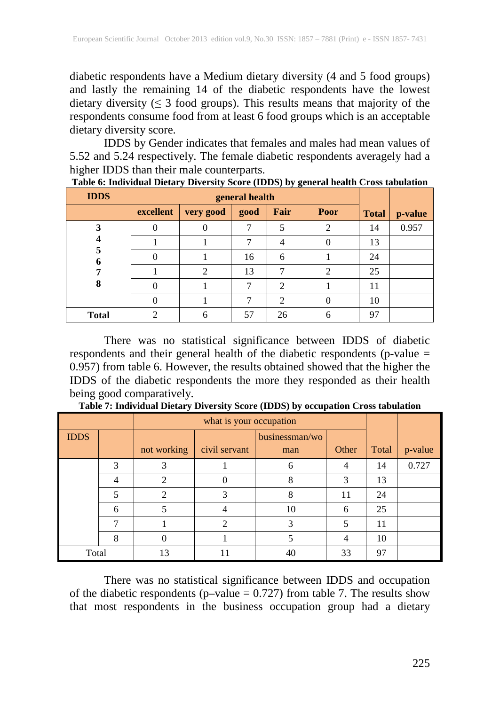diabetic respondents have a Medium dietary diversity (4 and 5 food groups) and lastly the remaining 14 of the diabetic respondents have the lowest dietary diversity ( $\leq$  3 food groups). This results means that majority of the respondents consume food from at least 6 food groups which is an acceptable dietary diversity score.

IDDS by Gender indicates that females and males had mean values of 5.52 and 5.24 respectively. The female diabetic respondents averagely had a higher IDDS than their male counterparts.

| <b>IDDS</b>  | general health |                |      |      |          |              |         |
|--------------|----------------|----------------|------|------|----------|--------------|---------|
|              | excellent      | very good      | good | Fair | Poor     | <b>Total</b> | p-value |
| 3            | O              | $\theta$       | 7    | 5    | 2        | 14           | 0.957   |
|              |                |                | 7    | 4    | $\Omega$ | 13           |         |
| 5<br>6       | 0              |                | 16   | 6    |          | 24           |         |
|              |                | $\overline{2}$ | 13   | 7    | 2        | 25           |         |
| 8            |                |                | 7    | 2    |          | 11           |         |
|              |                |                |      | 2    | 0        | 10           |         |
| <b>Total</b> | 2              | 6              | 57   | 26   | 6        | 97           |         |

There was no statistical significance between IDDS of diabetic respondents and their general health of the diabetic respondents (p-value = 0.957) from table 6. However, the results obtained showed that the higher the IDDS of the diabetic respondents the more they responded as their health being good comparatively.

|             |   | what is your occupation |                |                |       |       |         |
|-------------|---|-------------------------|----------------|----------------|-------|-------|---------|
| <b>IDDS</b> |   |                         |                | businessman/wo |       |       |         |
|             |   | not working             | civil servant  | man            | Other | Total | p-value |
|             | 3 | 3                       |                | 6              | 4     | 14    | 0.727   |
|             | 4 | 2                       | 0              | 8              | 3     | 13    |         |
|             | 5 | $\mathfrak{D}$          | 3              | 8              | 11    | 24    |         |
|             | 6 |                         | 4              | 10             | 6     | 25    |         |
|             |   |                         | $\overline{c}$ | 3              |       | 11    |         |
|             | 8 | $\Omega$                |                |                | 4     | 10    |         |
| Total       |   | 13                      |                | 40             | 33    | 97    |         |

**Table 7: Individual Dietary Diversity Score (IDDS) by occupation Cross tabulation**

There was no statistical significance between IDDS and occupation of the diabetic respondents (p–value  $= 0.727$ ) from table 7. The results show that most respondents in the business occupation group had a dietary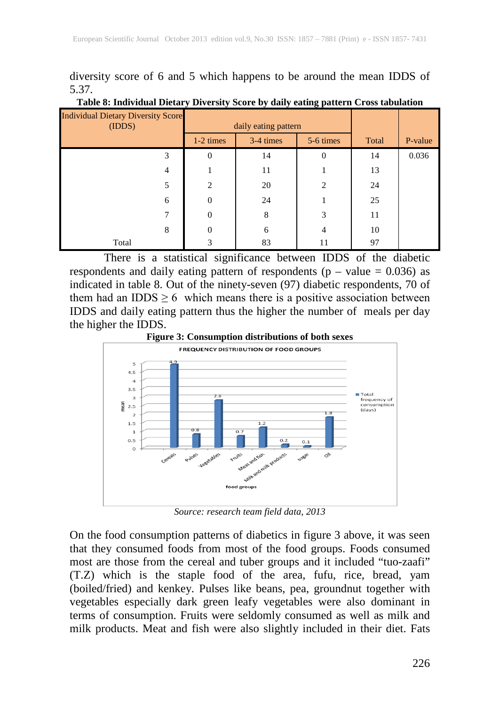diversity score of 6 and 5 which happens to be around the mean IDDS of 5.37.

| <b>Individual Dietary Diversity Score</b><br>(IDDS) | daily eating pattern |           |                |       |         |
|-----------------------------------------------------|----------------------|-----------|----------------|-------|---------|
|                                                     | $1-2 \times$         | 3-4 times | 5-6 times      | Total | P-value |
| 3                                                   | $\theta$             | 14        | $\theta$       | 14    | 0.036   |
| 4                                                   |                      | 11        |                | 13    |         |
| 5                                                   | $\overline{c}$       | 20        | 2              | 24    |         |
| 6                                                   | $\overline{0}$       | 24        |                | 25    |         |
| 7                                                   | $\overline{0}$       | 8         | 3              | 11    |         |
| 8                                                   | $\overline{0}$       | 6         | $\overline{4}$ | 10    |         |
| Total                                               | 3                    | 83        | 11             | 97    |         |

#### **Table 8: Individual Dietary Diversity Score by daily eating pattern Cross tabulation**

There is a statistical significance between IDDS of the diabetic respondents and daily eating pattern of respondents ( $p - value = 0.036$ ) as indicated in table 8. Out of the ninety-seven (97) diabetic respondents, 70 of them had an IDDS  $\geq 6$  which means there is a positive association between IDDS and daily eating pattern thus the higher the number of meals per day the higher the IDDS.



*Source: research team field data, 2013*

On the food consumption patterns of diabetics in figure 3 above, it was seen that they consumed foods from most of the food groups. Foods consumed most are those from the cereal and tuber groups and it included "tuo-zaafi" (T.Z) which is the staple food of the area, fufu, rice, bread, yam (boiled/fried) and kenkey. Pulses like beans, pea, groundnut together with vegetables especially dark green leafy vegetables were also dominant in terms of consumption. Fruits were seldomly consumed as well as milk and milk products. Meat and fish were also slightly included in their diet. Fats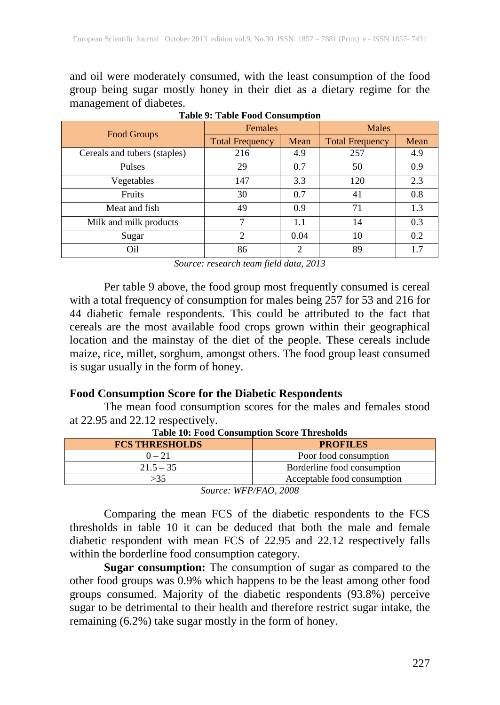and oil were moderately consumed, with the least consumption of the food group being sugar mostly honey in their diet as a dietary regime for the management of diabetes.

|                              | <b>Females</b>              |      | <b>Males</b>           |      |  |
|------------------------------|-----------------------------|------|------------------------|------|--|
| <b>Food Groups</b>           | <b>Total Frequency</b>      | Mean | <b>Total Frequency</b> | Mean |  |
| Cereals and tubers (staples) | 216                         | 4.9  | 257                    | 4.9  |  |
| <b>Pulses</b>                | 29                          | 0.7  | 50                     | 0.9  |  |
| Vegetables                   | 147                         | 3.3  | 120                    | 2.3  |  |
| Fruits                       | 30                          | 0.7  | 41                     | 0.8  |  |
| Meat and fish                | 49                          | 0.9  | 71                     | 1.3  |  |
| Milk and milk products       | 7                           | 1.1  | 14                     | 0.3  |  |
| Sugar                        | $\mathcal{D}_{\mathcal{L}}$ | 0.04 | 10                     | 0.2  |  |
| Oil                          | 86                          | ∍    | 89                     |      |  |

**Table 9: Table Food Consumption**

*Source: research team field data, 2013*

Per table 9 above, the food group most frequently consumed is cereal with a total frequency of consumption for males being 257 for 53 and 216 for 44 diabetic female respondents. This could be attributed to the fact that cereals are the most available food crops grown within their geographical location and the mainstay of the diet of the people. These cereals include maize, rice, millet, sorghum, amongst others. The food group least consumed is sugar usually in the form of honey.

# **Food Consumption Score for the Diabetic Respondents**

The mean food consumption scores for the males and females stood at 22.95 and 22.12 respectively.

| <b>FCS THRESHOLDS</b> | <b>PROFILES</b>             |  |  |
|-----------------------|-----------------------------|--|--|
| $0 - 21$              | Poor food consumption       |  |  |
| $21.5 - 35$           | Borderline food consumption |  |  |
|                       | Acceptable food consumption |  |  |
| --<br>.               |                             |  |  |

**Table 10: Food Consumption Score Thresholds**

*Source: WFP/FAO, 2008*

Comparing the mean FCS of the diabetic respondents to the FCS thresholds in table 10 it can be deduced that both the male and female diabetic respondent with mean FCS of 22.95 and 22.12 respectively falls within the borderline food consumption category.

Sugar consumption: The consumption of sugar as compared to the other food groups was 0.9% which happens to be the least among other food groups consumed. Majority of the diabetic respondents (93.8%) perceive sugar to be detrimental to their health and therefore restrict sugar intake, the remaining (6.2%) take sugar mostly in the form of honey.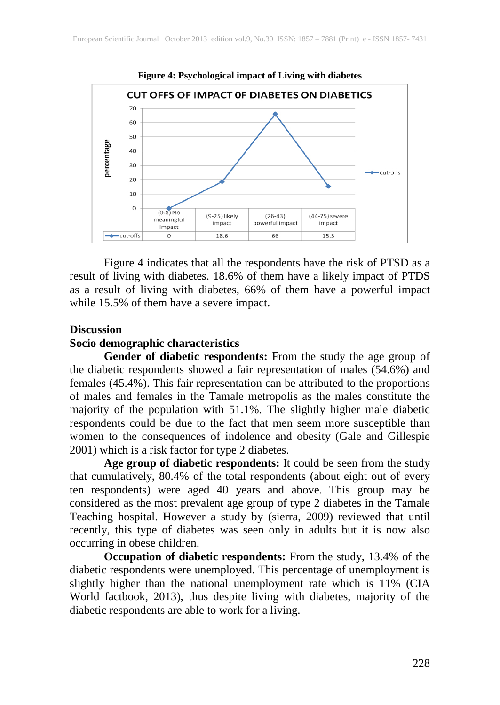

Figure 4 indicates that all the respondents have the risk of PTSD as a result of living with diabetes. 18.6% of them have a likely impact of PTDS as a result of living with diabetes, 66% of them have a powerful impact while 15.5% of them have a severe impact.

#### **Discussion**

#### **Socio demographic characteristics**

Gender of diabetic respondents: From the study the age group of the diabetic respondents showed a fair representation of males (54.6%) and females (45.4%). This fair representation can be attributed to the proportions of males and females in the Tamale metropolis as the males constitute the majority of the population with 51.1%. The slightly higher male diabetic respondents could be due to the fact that men seem more susceptible than women to the consequences of indolence and obesity (Gale and Gillespie 2001) which is a risk factor for type 2 diabetes.

**Age group of diabetic respondents:** It could be seen from the study that cumulatively, 80.4% of the total respondents (about eight out of every ten respondents) were aged 40 years and above. This group may be considered as the most prevalent age group of type 2 diabetes in the Tamale Teaching hospital. However a study by (sierra, 2009) reviewed that until recently, this type of diabetes was seen only in adults but it is now also occurring in obese children.

**Occupation of diabetic respondents:** From the study, 13.4% of the diabetic respondents were unemployed. This percentage of unemployment is slightly higher than the national unemployment rate which is 11% (CIA World factbook, 2013), thus despite living with diabetes, majority of the diabetic respondents are able to work for a living.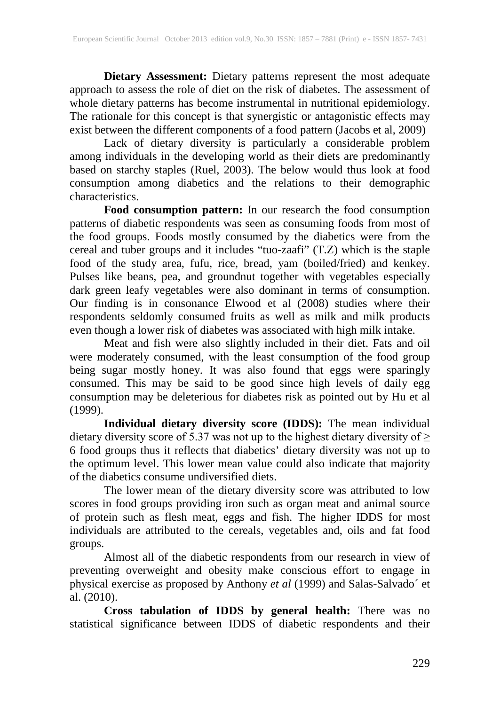**Dietary Assessment:** Dietary patterns represent the most adequate approach to assess the role of diet on the risk of diabetes. The assessment of whole dietary patterns has become instrumental in nutritional epidemiology. The rationale for this concept is that synergistic or antagonistic effects may exist between the different components of a food pattern (Jacobs et al, 2009)

Lack of dietary diversity is particularly a considerable problem among individuals in the developing world as their diets are predominantly based on starchy staples (Ruel, 2003). The below would thus look at food consumption among diabetics and the relations to their demographic characteristics.

**Food consumption pattern:** In our research the food consumption patterns of diabetic respondents was seen as consuming foods from most of the food groups. Foods mostly consumed by the diabetics were from the cereal and tuber groups and it includes "tuo-zaafi" (T.Z) which is the staple food of the study area, fufu, rice, bread, yam (boiled/fried) and kenkey. Pulses like beans, pea, and groundnut together with vegetables especially dark green leafy vegetables were also dominant in terms of consumption. Our finding is in consonance Elwood et al (2008) studies where their respondents seldomly consumed fruits as well as milk and milk products even though a lower risk of diabetes was associated with high milk intake.

Meat and fish were also slightly included in their diet. Fats and oil were moderately consumed, with the least consumption of the food group being sugar mostly honey. It was also found that eggs were sparingly consumed. This may be said to be good since high levels of daily egg consumption may be deleterious for diabetes risk as pointed out by Hu et al (1999).

**Individual dietary diversity score (IDDS):** The mean individual dietary diversity score of 5.37 was not up to the highest dietary diversity of  $\ge$ 6 food groups thus it reflects that diabetics' dietary diversity was not up to the optimum level. This lower mean value could also indicate that majority of the diabetics consume undiversified diets.

The lower mean of the dietary diversity score was attributed to low scores in food groups providing iron such as organ meat and animal source of protein such as flesh meat, eggs and fish. The higher IDDS for most individuals are attributed to the cereals, vegetables and, oils and fat food groups.

Almost all of the diabetic respondents from our research in view of preventing overweight and obesity make conscious effort to engage in physical exercise as proposed by Anthony *et al* (1999) and Salas-Salvado´ et al. (2010).

**Cross tabulation of IDDS by general health:** There was no statistical significance between IDDS of diabetic respondents and their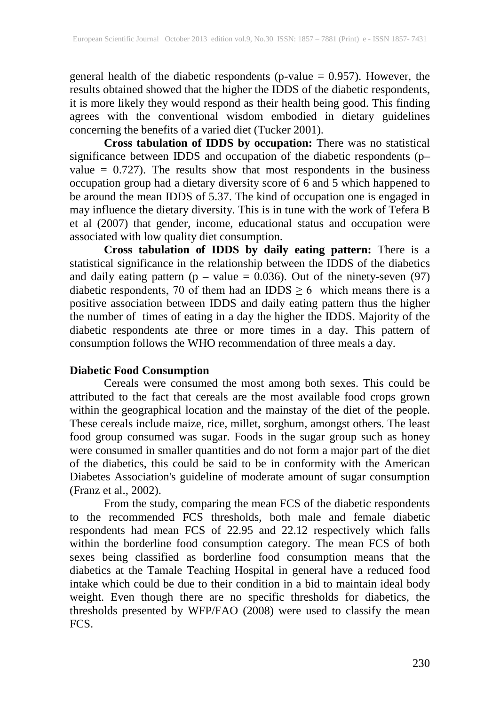general health of the diabetic respondents (p-value  $= 0.957$ ). However, the results obtained showed that the higher the IDDS of the diabetic respondents, it is more likely they would respond as their health being good. This finding agrees with the conventional wisdom embodied in dietary guidelines concerning the benefits of a varied diet (Tucker 2001).

**Cross tabulation of IDDS by occupation:** There was no statistical significance between IDDS and occupation of the diabetic respondents (p– value  $= 0.727$ ). The results show that most respondents in the business occupation group had a dietary diversity score of 6 and 5 which happened to be around the mean IDDS of 5.37. The kind of occupation one is engaged in may influence the dietary diversity. This is in tune with the work of Tefera B et al (2007) that gender, income, educational status and occupation were associated with low quality diet consumption.

**Cross tabulation of IDDS by daily eating pattern:** There is a statistical significance in the relationship between the IDDS of the diabetics and daily eating pattern  $(p - value = 0.036)$ . Out of the ninety-seven (97) diabetic respondents, 70 of them had an IDDS  $\geq$  6 which means there is a positive association between IDDS and daily eating pattern thus the higher the number of times of eating in a day the higher the IDDS. Majority of the diabetic respondents ate three or more times in a day. This pattern of consumption follows the WHO recommendation of three meals a day.

### **Diabetic Food Consumption**

Cereals were consumed the most among both sexes. This could be attributed to the fact that cereals are the most available food crops grown within the geographical location and the mainstay of the diet of the people. These cereals include maize, rice, millet, sorghum, amongst others. The least food group consumed was sugar. Foods in the sugar group such as honey were consumed in smaller quantities and do not form a major part of the diet of the diabetics, this could be said to be in conformity with the American Diabetes Association's guideline of moderate amount of sugar consumption (Franz et al., 2002).

From the study, comparing the mean FCS of the diabetic respondents to the recommended FCS thresholds, both male and female diabetic respondents had mean FCS of 22.95 and 22.12 respectively which falls within the borderline food consumption category. The mean FCS of both sexes being classified as borderline food consumption means that the diabetics at the Tamale Teaching Hospital in general have a reduced food intake which could be due to their condition in a bid to maintain ideal body weight. Even though there are no specific thresholds for diabetics, the thresholds presented by WFP/FAO (2008) were used to classify the mean FCS.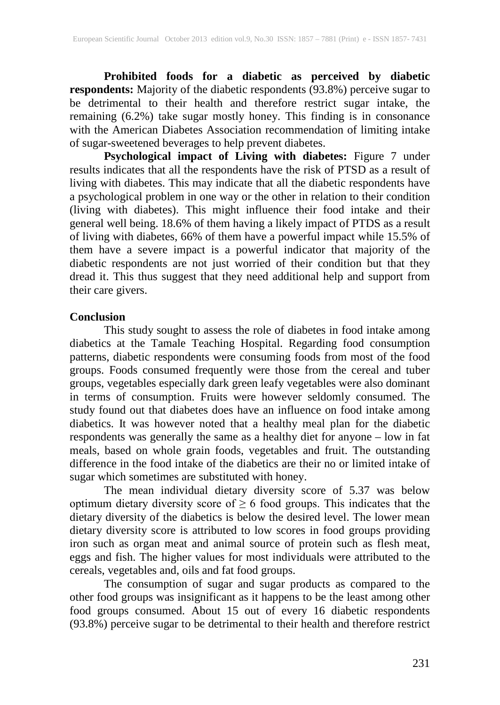**Prohibited foods for a diabetic as perceived by diabetic respondents:** Majority of the diabetic respondents (93.8%) perceive sugar to be detrimental to their health and therefore restrict sugar intake, the remaining (6.2%) take sugar mostly honey. This finding is in consonance with the American Diabetes Association recommendation of limiting intake of sugar-sweetened beverages to help prevent diabetes.

**Psychological impact of Living with diabetes:** Figure 7 under results indicates that all the respondents have the risk of PTSD as a result of living with diabetes. This may indicate that all the diabetic respondents have a psychological problem in one way or the other in relation to their condition (living with diabetes). This might influence their food intake and their general well being. 18.6% of them having a likely impact of PTDS as a result of living with diabetes, 66% of them have a powerful impact while 15.5% of them have a severe impact is a powerful indicator that majority of the diabetic respondents are not just worried of their condition but that they dread it. This thus suggest that they need additional help and support from their care givers.

#### **Conclusion**

This study sought to assess the role of diabetes in food intake among diabetics at the Tamale Teaching Hospital. Regarding food consumption patterns, diabetic respondents were consuming foods from most of the food groups. Foods consumed frequently were those from the cereal and tuber groups, vegetables especially dark green leafy vegetables were also dominant in terms of consumption. Fruits were however seldomly consumed. The study found out that diabetes does have an influence on food intake among diabetics. It was however noted that a healthy meal plan for the diabetic respondents was generally the same as a healthy diet for anyone – low in fat meals, based on whole grain foods, vegetables and fruit. The outstanding difference in the food intake of the diabetics are their no or limited intake of sugar which sometimes are substituted with honey.

The mean individual dietary diversity score of 5.37 was below optimum dietary diversity score of  $\geq 6$  food groups. This indicates that the dietary diversity of the diabetics is below the desired level. The lower mean dietary diversity score is attributed to low scores in food groups providing iron such as organ meat and animal source of protein such as flesh meat, eggs and fish. The higher values for most individuals were attributed to the cereals, vegetables and, oils and fat food groups.

The consumption of sugar and sugar products as compared to the other food groups was insignificant as it happens to be the least among other food groups consumed. About 15 out of every 16 diabetic respondents (93.8%) perceive sugar to be detrimental to their health and therefore restrict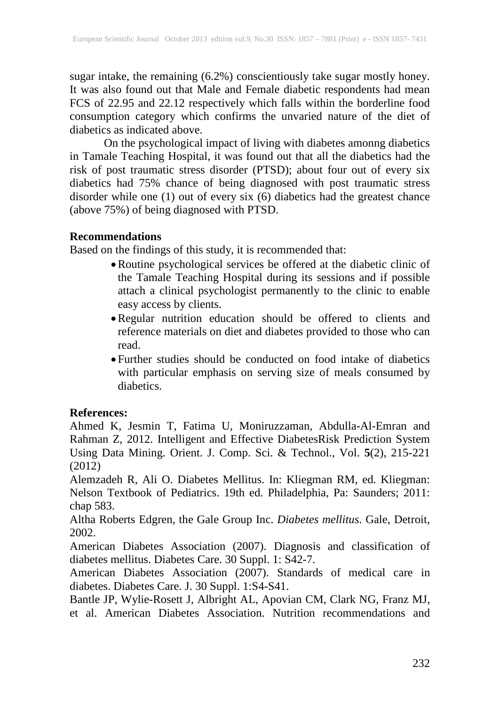sugar intake, the remaining (6.2%) conscientiously take sugar mostly honey. It was also found out that Male and Female diabetic respondents had mean FCS of 22.95 and 22.12 respectively which falls within the borderline food consumption category which confirms the unvaried nature of the diet of diabetics as indicated above.

On the psychological impact of living with diabetes amonng diabetics in Tamale Teaching Hospital, it was found out that all the diabetics had the risk of post traumatic stress disorder (PTSD); about four out of every six diabetics had 75% chance of being diagnosed with post traumatic stress disorder while one (1) out of every six (6) diabetics had the greatest chance (above 75%) of being diagnosed with PTSD.

#### **Recommendations**

Based on the findings of this study, it is recommended that:

- •Routine psychological services be offered at the diabetic clinic of the Tamale Teaching Hospital during its sessions and if possible attach a clinical psychologist permanently to the clinic to enable easy access by clients.
- •Regular nutrition education should be offered to clients and reference materials on diet and diabetes provided to those who can read.
- Further studies should be conducted on food intake of diabetics with particular emphasis on serving size of meals consumed by diabetics.

### **References:**

Ahmed K, Jesmin T, Fatima U, Moniruzzaman, Abdulla-Al-Emran and Rahman Z, 2012. Intelligent and Effective DiabetesRisk Prediction System Using Data Mining. Orient. J. Comp. Sci. & Technol., Vol. **5**(2), 215-221 (2012)

Alemzadeh R, Ali O. Diabetes Mellitus. In: Kliegman RM, ed. Kliegman: Nelson Textbook of Pediatrics. 19th ed. Philadelphia, Pa: Saunders; 2011: chap 583.

Altha Roberts Edgren, the Gale Group Inc. *Diabetes mellitus*. Gale, Detroit, 2002.

American Diabetes Association (2007). Diagnosis and classification of diabetes mellitus. Diabetes Care. 30 Suppl. 1: S42-7.

American Diabetes Association (2007). Standards of medical care in diabetes. Diabetes Care. J. 30 Suppl. 1:S4-S41.

Bantle JP, Wylie-Rosett J, Albright AL, Apovian CM, Clark NG, Franz MJ, et al. American Diabetes Association. Nutrition recommendations and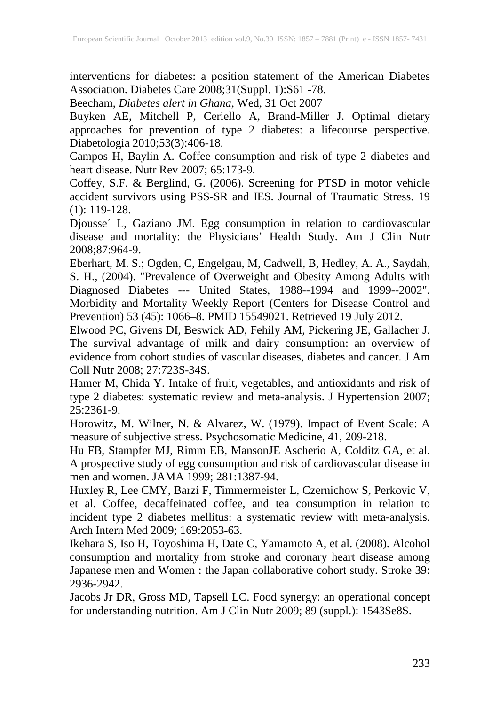interventions for diabetes: a position statement of the American Diabetes Association. Diabetes Care 2008;31(Suppl. 1):S61 -78.

Beecham, *Diabetes alert in Ghana*, Wed, 31 Oct 2007

Buyken AE, Mitchell P, Ceriello A, Brand-Miller J. Optimal dietary approaches for prevention of type 2 diabetes: a lifecourse perspective. Diabetologia 2010;53(3):406-18.

Campos H, Baylin A. Coffee consumption and risk of type 2 diabetes and heart disease. Nutr Rev 2007; 65:173-9.

Coffey, S.F. & Berglind, G. (2006). Screening for PTSD in motor vehicle accident survivors using PSS-SR and IES. Journal of Traumatic Stress. 19 (1): 119-128.

Djousse´ L, Gaziano JM. Egg consumption in relation to cardiovascular disease and mortality: the Physicians' Health Study. Am J Clin Nutr 2008;87:964-9.

Eberhart, M. S.; Ogden, C, Engelgau, M, Cadwell, B, Hedley, A. A., Saydah, S. H., (2004). "Prevalence of Overweight and Obesity Among Adults with Diagnosed Diabetes --- United States, 1988--1994 and 1999--2002". Morbidity and Mortality Weekly Report (Centers for Disease Control and Prevention) 53 (45): 1066–8. PMID 15549021. Retrieved 19 July 2012.

Elwood PC, Givens DI, Beswick AD, Fehily AM, Pickering JE, Gallacher J. The survival advantage of milk and dairy consumption: an overview of evidence from cohort studies of vascular diseases, diabetes and cancer. J Am Coll Nutr 2008; 27:723S-34S.

Hamer M, Chida Y. Intake of fruit, vegetables, and antioxidants and risk of type 2 diabetes: systematic review and meta-analysis. J Hypertension 2007; 25:2361-9.

Horowitz, M. Wilner, N. & Alvarez, W. (1979). Impact of Event Scale: A measure of subjective stress. Psychosomatic Medicine, 41, 209-218.

Hu FB, Stampfer MJ, Rimm EB, MansonJE Ascherio A, Colditz GA, et al. A prospective study of egg consumption and risk of cardiovascular disease in men and women. JAMA 1999; 281:1387-94.

Huxley R, Lee CMY, Barzi F, Timmermeister L, Czernichow S, Perkovic V, et al. Coffee, decaffeinated coffee, and tea consumption in relation to incident type 2 diabetes mellitus: a systematic review with meta-analysis. Arch Intern Med 2009; 169:2053-63.

Ikehara S, Iso H, Toyoshima H, Date C, Yamamoto A, et al. (2008). Alcohol consumption and mortality from stroke and coronary heart disease among Japanese men and Women : the Japan collaborative cohort study. Stroke 39: 2936-2942.

Jacobs Jr DR, Gross MD, Tapsell LC. Food synergy: an operational concept for understanding nutrition. Am J Clin Nutr 2009; 89 (suppl.): 1543Se8S.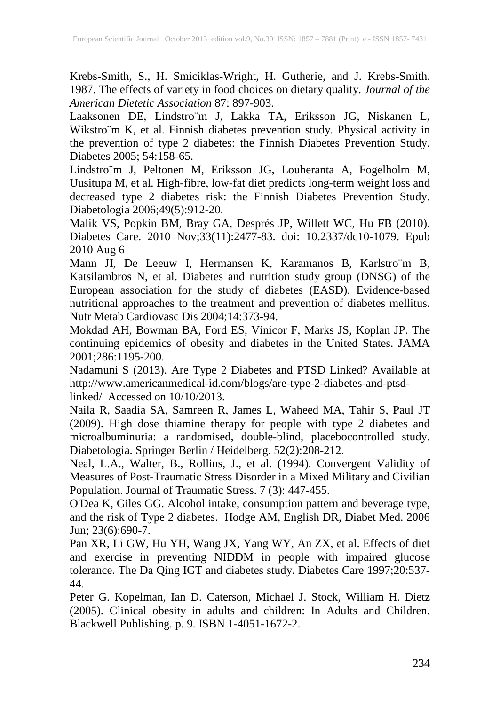Krebs-Smith, S., H. Smiciklas-Wright, H. Gutherie, and J. Krebs-Smith. 1987. The effects of variety in food choices on dietary quality. *Journal of the American Dietetic Association* 87: 897-903.

Laaksonen DE, Lindstro¨m J, Lakka TA, Eriksson JG, Niskanen L, Wikstro¨m K, et al. Finnish diabetes prevention study. Physical activity in the prevention of type 2 diabetes: the Finnish Diabetes Prevention Study. Diabetes 2005; 54:158-65.

Lindstro¨m J, Peltonen M, Eriksson JG, Louheranta A, Fogelholm M, Uusitupa M, et al. High-fibre, low-fat diet predicts long-term weight loss and decreased type 2 diabetes risk: the Finnish Diabetes Prevention Study. Diabetologia 2006;49(5):912-20.

Malik VS, Popkin BM, Bray GA, Després JP, Willett WC, Hu FB (2010). Diabetes Care. 2010 Nov;33(11):2477-83. doi: 10.2337/dc10-1079. Epub 2010 Aug 6

Mann JI, De Leeuw I, Hermansen K, Karamanos B, Karlstro¨m B, Katsilambros N, et al. Diabetes and nutrition study group (DNSG) of the European association for the study of diabetes (EASD). Evidence-based nutritional approaches to the treatment and prevention of diabetes mellitus. Nutr Metab Cardiovasc Dis 2004;14:373-94.

Mokdad AH, Bowman BA, Ford ES, Vinicor F, Marks JS, Koplan JP. The continuing epidemics of obesity and diabetes in the United States. JAMA 2001;286:1195-200.

Nadamuni S (2013). Are Type 2 Diabetes and PTSD Linked? Available at http://www.americanmedical-id.com/blogs/are-type-2-diabetes-and-ptsdlinked/ Accessed on 10/10/2013.

Naila R, Saadia SA, Samreen R, James L, Waheed MA, Tahir S, Paul JT (2009). High dose thiamine therapy for people with type 2 diabetes and microalbuminuria: a randomised, double-blind, placebocontrolled study. Diabetologia. Springer Berlin / Heidelberg. 52(2):208-212.

Neal, L.A., Walter, B., Rollins, J., et al. (1994). Convergent Validity of Measures of Post-Traumatic Stress Disorder in a Mixed Military and Civilian Population. Journal of Traumatic Stress. 7 (3): 447-455.

O'Dea K, Giles GG. Alcohol intake, consumption pattern and beverage type, and the risk of Type 2 diabetes. Hodge AM, English DR, Diabet Med. 2006 Jun; 23(6):690-7.

Pan XR, Li GW, Hu YH, Wang JX, Yang WY, An ZX, et al. Effects of diet and exercise in preventing NIDDM in people with impaired glucose tolerance. The Da Qing IGT and diabetes study. Diabetes Care 1997;20:537- 44.

Peter G. Kopelman, Ian D. Caterson, Michael J. Stock, William H. Dietz (2005). Clinical obesity in adults and children: In Adults and Children. Blackwell Publishing. p. 9. ISBN 1-4051-1672-2.